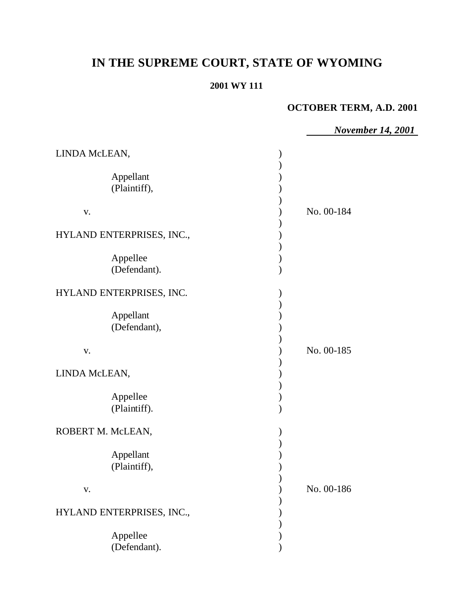# **IN THE SUPREME COURT, STATE OF WYOMING**

### **2001 WY 111**

# **OCTOBER TERM, A.D. 2001**

*November 14, 2001* LINDA McLEAN, ) ) Appellant (1) (Plaintiff), ) ) v. ) No. 00-184  $\lambda$ HYLAND ENTERPRISES, INC., ) Appellee (b) (Defendant). HYLAND ENTERPRISES, INC.  $\mathcal{L}$ Appellant (1) (Defendant), ) v. ) No. 00-185  $\mathcal{L}$ LINDA McLEAN, )  $\mathcal{L}$ Appellee (b) (Plaintiff). ) ROBERT M. McLEAN,  $\mathcal{L}$ Appellant (1) (Plaintiff), ) ) v. ) No. 00-186 ) HYLAND ENTERPRISES, INC.,  $($ ) Appellee (a) (Defendant).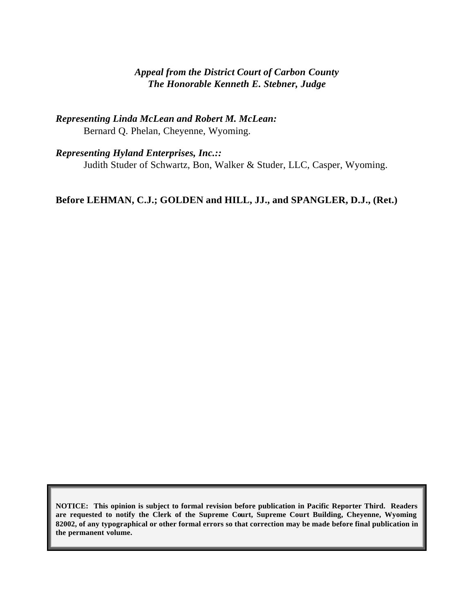# *Appeal from the District Court of Carbon County The Honorable Kenneth E. Stebner, Judge*

*Representing Linda McLean and Robert M. McLean:* Bernard Q. Phelan, Cheyenne, Wyoming.

*Representing Hyland Enterprises, Inc.::* Judith Studer of Schwartz, Bon, Walker & Studer, LLC, Casper, Wyoming.

**Before LEHMAN, C.J.; GOLDEN and HILL, JJ., and SPANGLER, D.J., (Ret.)**

**NOTICE: This opinion is subject to formal revision before publication in Pacific Reporter Third. Readers are requested to notify the Clerk of the Supreme Court, Supreme Court Building, Cheyenne, Wyoming 82002, of any typographical or other formal errors so that correction may be made before final publication in the permanent volume.**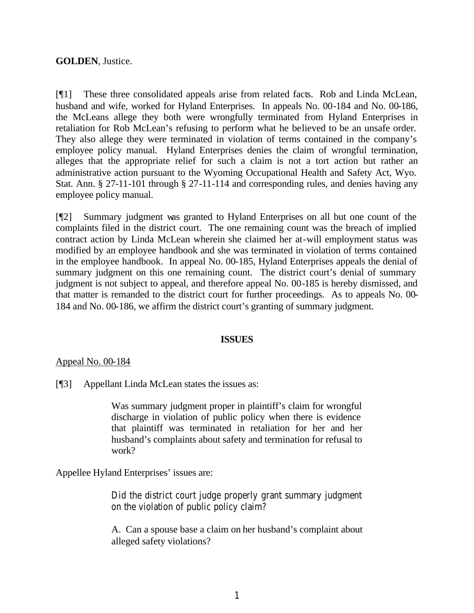# **GOLDEN**, Justice.

[¶1] These three consolidated appeals arise from related facts. Rob and Linda McLean, husband and wife, worked for Hyland Enterprises. In appeals No. 00-184 and No. 00-186, the McLeans allege they both were wrongfully terminated from Hyland Enterprises in retaliation for Rob McLean's refusing to perform what he believed to be an unsafe order. They also allege they were terminated in violation of terms contained in the company's employee policy manual. Hyland Enterprises denies the claim of wrongful termination, alleges that the appropriate relief for such a claim is not a tort action but rather an administrative action pursuant to the Wyoming Occupational Health and Safety Act, Wyo. Stat. Ann. § 27-11-101 through § 27-11-114 and corresponding rules, and denies having any employee policy manual.

[¶2] Summary judgment was granted to Hyland Enterprises on all but one count of the complaints filed in the district court. The one remaining count was the breach of implied contract action by Linda McLean wherein she claimed her at-will employment status was modified by an employee handbook and she was terminated in violation of terms contained in the employee handbook. In appeal No. 00-185, Hyland Enterprises appeals the denial of summary judgment on this one remaining count. The district court's denial of summary judgment is not subject to appeal, and therefore appeal No. 00-185 is hereby dismissed, and that matter is remanded to the district court for further proceedings. As to appeals No. 00- 184 and No. 00-186, we affirm the district court's granting of summary judgment.

# **ISSUES**

# Appeal No. 00-184

[¶3] Appellant Linda McLean states the issues as:

Was summary judgment proper in plaintiff's claim for wrongful discharge in violation of public policy when there is evidence that plaintiff was terminated in retaliation for her and her husband's complaints about safety and termination for refusal to work?

Appellee Hyland Enterprises' issues are:

Did the district court judge properly grant summary judgment on the violation of public policy claim?

A. Can a spouse base a claim on her husband's complaint about alleged safety violations?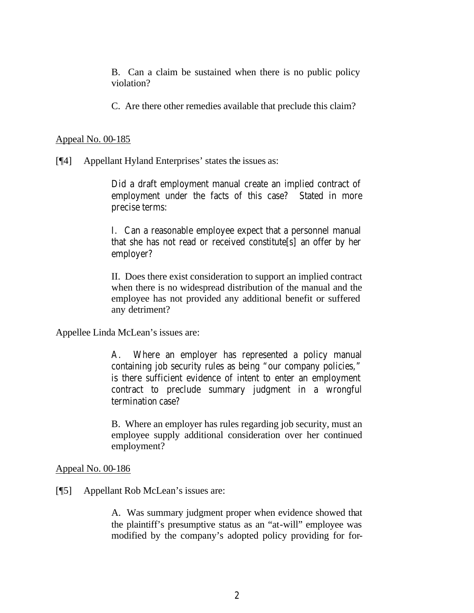B. Can a claim be sustained when there is no public policy violation?

C. Are there other remedies available that preclude this claim?

#### Appeal No. 00-185

[¶4] Appellant Hyland Enterprises' states the issues as:

Did a draft employment manual create an implied contract of employment under the facts of this case? Stated in more precise terms:

I. Can a reasonable employee expect that a personnel manual that she has not read or received constitute[s] an offer by her employer?

II. Does there exist consideration to support an implied contract when there is no widespread distribution of the manual and the employee has not provided any additional benefit or suffered any detriment?

Appellee Linda McLean's issues are:

A. Where an employer has represented a policy manual containing job security rules as being "our company policies," is there sufficient evidence of intent to enter an employment contract to preclude summary judgment in a wrongful termination case?

B. Where an employer has rules regarding job security, must an employee supply additional consideration over her continued employment?

Appeal No. 00-186

#### [¶5] Appellant Rob McLean's issues are:

A. Was summary judgment proper when evidence showed that the plaintiff's presumptive status as an "at-will" employee was modified by the company's adopted policy providing for for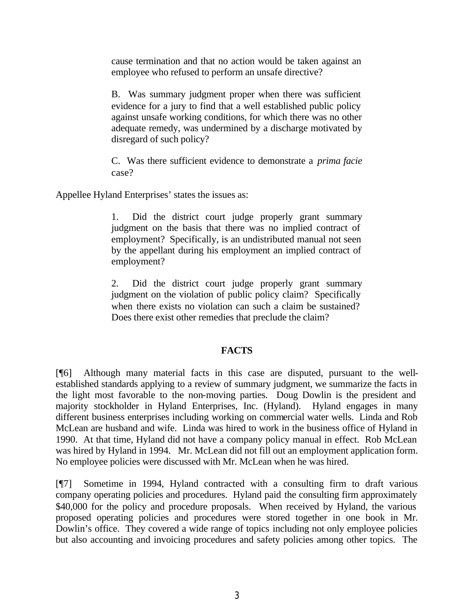cause termination and that no action would be taken against an employee who refused to perform an unsafe directive?

B. Was summary judgment proper when there was sufficient evidence for a jury to find that a well established public policy against unsafe working conditions, for which there was no other adequate remedy, was undermined by a discharge motivated by disregard of such policy?

C. Was there sufficient evidence to demonstrate a *prima facie* case?

Appellee Hyland Enterprises' states the issues as:

1. Did the district court judge properly grant summary judgment on the basis that there was no implied contract of employment? Specifically, is an undistributed manual not seen by the appellant during his employment an implied contract of employment?

2. Did the district court judge properly grant summary judgment on the violation of public policy claim? Specifically when there exists no violation can such a claim be sustained? Does there exist other remedies that preclude the claim?

# **FACTS**

[¶6] Although many material facts in this case are disputed, pursuant to the wellestablished standards applying to a review of summary judgment, we summarize the facts in the light most favorable to the non-moving parties. Doug Dowlin is the president and majority stockholder in Hyland Enterprises, Inc. (Hyland). Hyland engages in many different business enterprises including working on commercial water wells. Linda and Rob McLean are husband and wife. Linda was hired to work in the business office of Hyland in 1990. At that time, Hyland did not have a company policy manual in effect. Rob McLean was hired by Hyland in 1994. Mr. McLean did not fill out an employment application form. No employee policies were discussed with Mr. McLean when he was hired.

[¶7] Sometime in 1994, Hyland contracted with a consulting firm to draft various company operating policies and procedures. Hyland paid the consulting firm approximately \$40,000 for the policy and procedure proposals. When received by Hyland, the various proposed operating policies and procedures were stored together in one book in Mr. Dowlin's office. They covered a wide range of topics including not only employee policies but also accounting and invoicing procedures and safety policies among other topics. The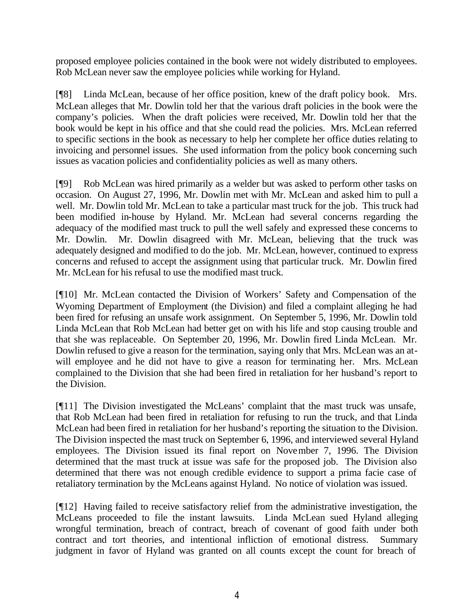proposed employee policies contained in the book were not widely distributed to employees. Rob McLean never saw the employee policies while working for Hyland.

[¶8] Linda McLean, because of her office position, knew of the draft policy book. Mrs. McLean alleges that Mr. Dowlin told her that the various draft policies in the book were the company's policies. When the draft policies were received, Mr. Dowlin told her that the book would be kept in his office and that she could read the policies. Mrs. McLean referred to specific sections in the book as necessary to help her complete her office duties relating to invoicing and personnel issues. She used information from the policy book concerning such issues as vacation policies and confidentiality policies as well as many others.

[¶9] Rob McLean was hired primarily as a welder but was asked to perform other tasks on occasion. On August 27, 1996, Mr. Dowlin met with Mr. McLean and asked him to pull a well. Mr. Dowlin told Mr. McLean to take a particular mast truck for the job. This truck had been modified in-house by Hyland. Mr. McLean had several concerns regarding the adequacy of the modified mast truck to pull the well safely and expressed these concerns to Mr. Dowlin. Mr. Dowlin disagreed with Mr. McLean, believing that the truck was adequately designed and modified to do the job. Mr. McLean, however, continued to express concerns and refused to accept the assignment using that particular truck. Mr. Dowlin fired Mr. McLean for his refusal to use the modified mast truck.

[¶10] Mr. McLean contacted the Division of Workers' Safety and Compensation of the Wyoming Department of Employment (the Division) and filed a complaint alleging he had been fired for refusing an unsafe work assignment. On September 5, 1996, Mr. Dowlin told Linda McLean that Rob McLean had better get on with his life and stop causing trouble and that she was replaceable. On September 20, 1996, Mr. Dowlin fired Linda McLean. Mr. Dowlin refused to give a reason for the termination, saying only that Mrs. McLean was an atwill employee and he did not have to give a reason for terminating her. Mrs. McLean complained to the Division that she had been fired in retaliation for her husband's report to the Division.

[¶11] The Division investigated the McLeans' complaint that the mast truck was unsafe, that Rob McLean had been fired in retaliation for refusing to run the truck, and that Linda McLean had been fired in retaliation for her husband's reporting the situation to the Division. The Division inspected the mast truck on September 6, 1996, and interviewed several Hyland employees. The Division issued its final report on November 7, 1996. The Division determined that the mast truck at issue was safe for the proposed job. The Division also determined that there was not enough credible evidence to support a prima facie case of retaliatory termination by the McLeans against Hyland. No notice of violation was issued.

[¶12] Having failed to receive satisfactory relief from the administrative investigation, the McLeans proceeded to file the instant lawsuits. Linda McLean sued Hyland alleging wrongful termination, breach of contract, breach of covenant of good faith under both contract and tort theories, and intentional infliction of emotional distress. Summary judgment in favor of Hyland was granted on all counts except the count for breach of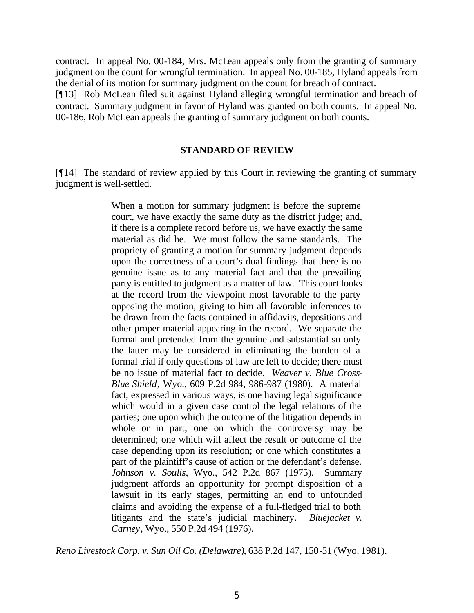contract. In appeal No. 00-184, Mrs. McLean appeals only from the granting of summary judgment on the count for wrongful termination. In appeal No. 00-185, Hyland appeals from the denial of its motion for summary judgment on the count for breach of contract. [¶13] Rob McLean filed suit against Hyland alleging wrongful termination and breach of contract. Summary judgment in favor of Hyland was granted on both counts. In appeal No. 00-186, Rob McLean appeals the granting of summary judgment on both counts.

#### **STANDARD OF REVIEW**

[¶14] The standard of review applied by this Court in reviewing the granting of summary judgment is well-settled.

> When a motion for summary judgment is before the supreme court, we have exactly the same duty as the district judge; and, if there is a complete record before us, we have exactly the same material as did he. We must follow the same standards. The propriety of granting a motion for summary judgment depends upon the correctness of a court's dual findings that there is no genuine issue as to any material fact and that the prevailing party is entitled to judgment as a matter of law. This court looks at the record from the viewpoint most favorable to the party opposing the motion, giving to him all favorable inferences to be drawn from the facts contained in affidavits, depositions and other proper material appearing in the record. We separate the formal and pretended from the genuine and substantial so only the latter may be considered in eliminating the burden of a formal trial if only questions of law are left to decide; there must be no issue of material fact to decide. *Weaver v. Blue Cross-Blue Shield*, Wyo., 609 P.2d 984, 986-987 (1980). A material fact, expressed in various ways, is one having legal significance which would in a given case control the legal relations of the parties; one upon which the outcome of the litigation depends in whole or in part; one on which the controversy may be determined; one which will affect the result or outcome of the case depending upon its resolution; or one which constitutes a part of the plaintiff's cause of action or the defendant's defense. *Johnson v. Soulis*, Wyo., 542 P.2d 867 (1975). Summary judgment affords an opportunity for prompt disposition of a lawsuit in its early stages, permitting an end to unfounded claims and avoiding the expense of a full-fledged trial to both litigants and the state's judicial machinery. *Bluejacket v. Carney*, Wyo., 550 P.2d 494 (1976).

*Reno Livestock Corp. v. Sun Oil Co. (Delaware)*, 638 P.2d 147, 150-51 (Wyo. 1981).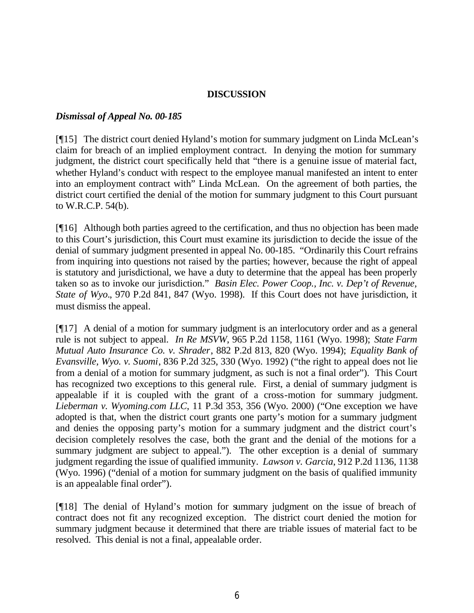# **DISCUSSION**

### *Dismissal of Appeal No. 00-185*

[¶15] The district court denied Hyland's motion for summary judgment on Linda McLean's claim for breach of an implied employment contract. In denying the motion for summary judgment, the district court specifically held that "there is a genuine issue of material fact, whether Hyland's conduct with respect to the employee manual manifested an intent to enter into an employment contract with" Linda McLean. On the agreement of both parties, the district court certified the denial of the motion for summary judgment to this Court pursuant to W.R.C.P. 54(b).

[¶16] Although both parties agreed to the certification, and thus no objection has been made to this Court's jurisdiction, this Court must examine its jurisdiction to decide the issue of the denial of summary judgment presented in appeal No. 00-185. "Ordinarily this Court refrains from inquiring into questions not raised by the parties; however, because the right of appeal is statutory and jurisdictional, we have a duty to determine that the appeal has been properly taken so as to invoke our jurisdiction." *Basin Elec. Power Coop., Inc. v. Dep't of Revenue, State of Wyo.*, 970 P.2d 841, 847 (Wyo. 1998). If this Court does not have jurisdiction, it must dismiss the appeal.

[¶17] A denial of a motion for summary judgment is an interlocutory order and as a general rule is not subject to appeal. *In Re MSVW*, 965 P.2d 1158, 1161 (Wyo. 1998); *State Farm Mutual Auto Insurance Co. v. Shrader*, 882 P.2d 813, 820 (Wyo. 1994); *Equality Bank of Evansville, Wyo. v. Suomi*, 836 P.2d 325, 330 (Wyo. 1992) ("the right to appeal does not lie from a denial of a motion for summary judgment, as such is not a final order"). This Court has recognized two exceptions to this general rule. First, a denial of summary judgment is appealable if it is coupled with the grant of a cross-motion for summary judgment. *Lieberman v. Wyoming.com LLC*, 11 P.3d 353, 356 (Wyo. 2000) ("One exception we have adopted is that, when the district court grants one party's motion for a summary judgment and denies the opposing party's motion for a summary judgment and the district court's decision completely resolves the case, both the grant and the denial of the motions for a summary judgment are subject to appeal."). The other exception is a denial of summary judgment regarding the issue of qualified immunity. *Lawson v. Garcia*, 912 P.2d 1136, 1138 (Wyo. 1996) ("denial of a motion for summary judgment on the basis of qualified immunity is an appealable final order").

[¶18] The denial of Hyland's motion for summary judgment on the issue of breach of contract does not fit any recognized exception. The district court denied the motion for summary judgment because it determined that there are triable issues of material fact to be resolved. This denial is not a final, appealable order.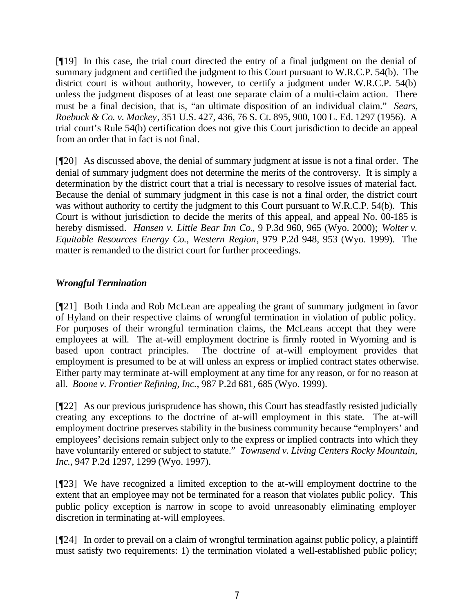[¶19] In this case, the trial court directed the entry of a final judgment on the denial of summary judgment and certified the judgment to this Court pursuant to W.R.C.P. 54(b). The district court is without authority, however, to certify a judgment under W.R.C.P. 54(b) unless the judgment disposes of at least one separate claim of a multi-claim action. There must be a final decision, that is, "an ultimate disposition of an individual claim." *Sears, Roebuck & Co. v. Mackey*, 351 U.S. 427, 436, 76 S. Ct. 895, 900, 100 L. Ed. 1297 (1956). A trial court's Rule 54(b) certification does not give this Court jurisdiction to decide an appeal from an order that in fact is not final.

[¶20] As discussed above, the denial of summary judgment at issue is not a final order. The denial of summary judgment does not determine the merits of the controversy. It is simply a determination by the district court that a trial is necessary to resolve issues of material fact. Because the denial of summary judgment in this case is not a final order, the district court was without authority to certify the judgment to this Court pursuant to W.R.C.P. 54(b). This Court is without jurisdiction to decide the merits of this appeal, and appeal No. 00-185 is hereby dismissed. *Hansen v. Little Bear Inn Co.*, 9 P.3d 960, 965 (Wyo. 2000); *Wolter v. Equitable Resources Energy Co., Western Region*, 979 P.2d 948, 953 (Wyo. 1999). The matter is remanded to the district court for further proceedings.

# *Wrongful Termination*

[¶21] Both Linda and Rob McLean are appealing the grant of summary judgment in favor of Hyland on their respective claims of wrongful termination in violation of public policy. For purposes of their wrongful termination claims, the McLeans accept that they were employees at will. The at-will employment doctrine is firmly rooted in Wyoming and is based upon contract principles. The doctrine of at-will employment provides that employment is presumed to be at will unless an express or implied contract states otherwise. Either party may terminate at-will employment at any time for any reason, or for no reason at all. *Boone v. Frontier Refining, Inc.*, 987 P.2d 681, 685 (Wyo. 1999).

[¶22] As our previous jurisprudence has shown, this Court has steadfastly resisted judicially creating any exceptions to the doctrine of at-will employment in this state. The at-will employment doctrine preserves stability in the business community because "employers' and employees' decisions remain subject only to the express or implied contracts into which they have voluntarily entered or subject to statute." *Townsend v. Living Centers Rocky Mountain, Inc.*, 947 P.2d 1297, 1299 (Wyo. 1997).

[¶23] We have recognized a limited exception to the at-will employment doctrine to the extent that an employee may not be terminated for a reason that violates public policy. This public policy exception is narrow in scope to avoid unreasonably eliminating employer discretion in terminating at-will employees.

[¶24] In order to prevail on a claim of wrongful termination against public policy, a plaintiff must satisfy two requirements: 1) the termination violated a well-established public policy;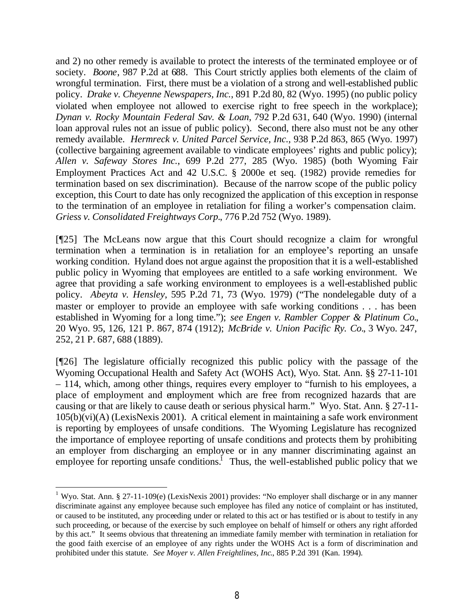and 2) no other remedy is available to protect the interests of the terminated employee or of society. *Boone*, 987 P.2d at 688. This Court strictly applies both elements of the claim of wrongful termination. First, there must be a violation of a strong and well-established public policy. *Drake v. Cheyenne Newspapers, Inc.*, 891 P.2d 80, 82 (Wyo. 1995) (no public policy violated when employee not allowed to exercise right to free speech in the workplace); *Dynan v. Rocky Mountain Federal Sav. & Loan*, 792 P.2d 631, 640 (Wyo. 1990) (internal loan approval rules not an issue of public policy). Second, there also must not be any other remedy available. *Hermreck v. United Parcel Service, Inc.*, 938 P.2d 863, 865 (Wyo. 1997) (collective bargaining agreement available to vindicate employees' rights and public policy); *Allen v. Safeway Stores Inc.*, 699 P.2d 277, 285 (Wyo. 1985) (both Wyoming Fair Employment Practices Act and 42 U.S.C. § 2000e et seq. (1982) provide remedies for termination based on sex discrimination). Because of the narrow scope of the public policy exception, this Court to date has only recognized the application of this exception in response to the termination of an employee in retaliation for filing a worker's compensation claim. *Griess v. Consolidated Freightways Corp.*, 776 P.2d 752 (Wyo. 1989).

[¶25] The McLeans now argue that this Court should recognize a claim for wrongful termination when a termination is in retaliation for an employee's reporting an unsafe working condition. Hyland does not argue against the proposition that it is a well-established public policy in Wyoming that employees are entitled to a safe working environment. We agree that providing a safe working environment to employees is a well-established public policy. *Abeyta v. Hensley*, 595 P.2d 71, 73 (Wyo. 1979) ("The nondelegable duty of a master or employer to provide an employee with safe working conditions . . . has been established in Wyoming for a long time."); *see Engen v. Rambler Copper & Platinum Co.*, 20 Wyo. 95, 126, 121 P. 867, 874 (1912); *McBride v. Union Pacific Ry. Co.*, 3 Wyo. 247, 252, 21 P. 687, 688 (1889).

[¶26] The legislature officially recognized this public policy with the passage of the Wyoming Occupational Health and Safety Act (WOHS Act), Wyo. Stat. Ann. §§ 27-11-101 – 114, which, among other things, requires every employer to "furnish to his employees, a place of employment and employment which are free from recognized hazards that are causing or that are likely to cause death or serious physical harm." Wyo. Stat. Ann. § 27-11- 105(b)(vi)(A) (LexisNexis 2001). A critical element in maintaining a safe work environment is reporting by employees of unsafe conditions. The Wyoming Legislature has recognized the importance of employee reporting of unsafe conditions and protects them by prohibiting an employer from discharging an employee or in any manner discriminating against an employee for reporting unsafe conditions.<sup>1</sup> Thus, the well-established public policy that we

<sup>&</sup>lt;sup>1</sup> Wyo. Stat. Ann. § 27-11-109(e) (LexisNexis 2001) provides: "No employer shall discharge or in any manner discriminate against any employee because such employee has filed any notice of complaint or has instituted, or caused to be instituted, any proceeding under or related to this act or has testified or is about to testify in any such proceeding, or because of the exercise by such employee on behalf of himself or others any right afforded by this act." It seems obvious that threatening an immediate family member with termination in retaliation for the good faith exercise of an employee of any rights under the WOHS Act is a form of discrimination and prohibited under this statute. *See Moyer v. Allen Freightlines, Inc*., 885 P.2d 391 (Kan. 1994).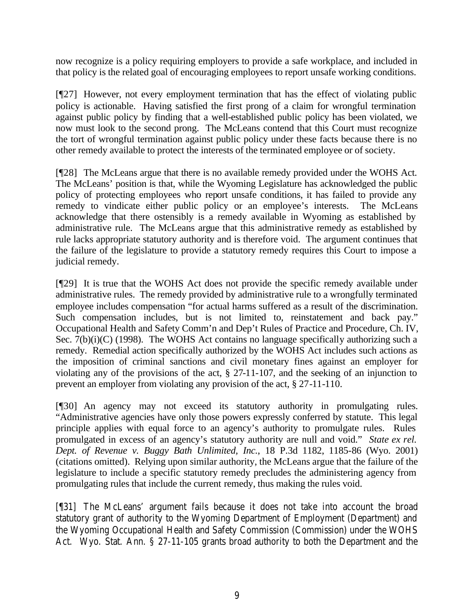now recognize is a policy requiring employers to provide a safe workplace, and included in that policy is the related goal of encouraging employees to report unsafe working conditions.

[¶27] However, not every employment termination that has the effect of violating public policy is actionable. Having satisfied the first prong of a claim for wrongful termination against public policy by finding that a well-established public policy has been violated, we now must look to the second prong. The McLeans contend that this Court must recognize the tort of wrongful termination against public policy under these facts because there is no other remedy available to protect the interests of the terminated employee or of society.

[¶28] The McLeans argue that there is no available remedy provided under the WOHS Act. The McLeans' position is that, while the Wyoming Legislature has acknowledged the public policy of protecting employees who report unsafe conditions, it has failed to provide any remedy to vindicate either public policy or an employee's interests. The McLeans acknowledge that there ostensibly is a remedy available in Wyoming as established by administrative rule. The McLeans argue that this administrative remedy as established by rule lacks appropriate statutory authority and is therefore void. The argument continues that the failure of the legislature to provide a statutory remedy requires this Court to impose a judicial remedy.

[¶29] It is true that the WOHS Act does not provide the specific remedy available under administrative rules. The remedy provided by administrative rule to a wrongfully terminated employee includes compensation "for actual harms suffered as a result of the discrimination. Such compensation includes, but is not limited to, reinstatement and back pay." Occupational Health and Safety Comm'n and Dep't Rules of Practice and Procedure, Ch. IV, Sec.  $7(b)(i)(C)$  (1998). The WOHS Act contains no language specifically authorizing such a remedy. Remedial action specifically authorized by the WOHS Act includes such actions as the imposition of criminal sanctions and civil monetary fines against an employer for violating any of the provisions of the act, § 27-11-107, and the seeking of an injunction to prevent an employer from violating any provision of the act, § 27-11-110.

[¶30] An agency may not exceed its statutory authority in promulgating rules. "Administrative agencies have only those powers expressly conferred by statute. This legal principle applies with equal force to an agency's authority to promulgate rules. Rules promulgated in excess of an agency's statutory authority are null and void." *State ex rel. Dept. of Revenue v. Buggy Bath Unlimited, Inc.*, 18 P.3d 1182, 1185-86 (Wyo. 2001) (citations omitted). Relying upon similar authority, the McLeans argue that the failure of the legislature to include a specific statutory remedy precludes the administering agency from promulgating rules that include the current remedy, thus making the rules void.

[¶31] The McLeans' argument fails because it does not take into account the broad statutory grant of authority to the Wyoming Department of Employment (Department) and the Wyoming Occupational Health and Safety Commission (Commission) under the WOHS Act. Wyo. Stat. Ann. § 27-11-105 grants broad authority to both the Department and the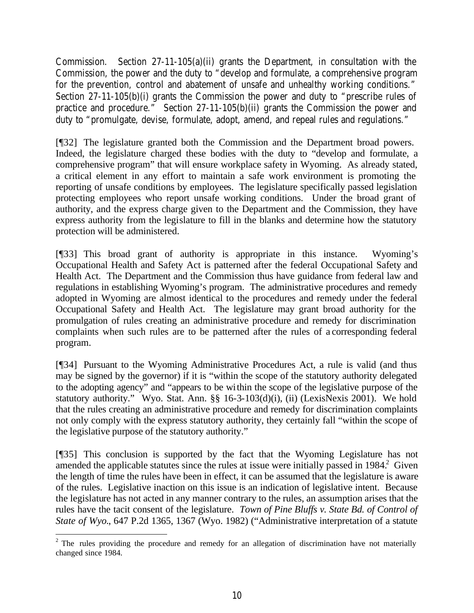Commission. Section 27-11-105(a)(ii) grants the Department, in consultation with the Commission, the power and the duty to "develop and formulate, a comprehensive program for the prevention, control and abatement of unsafe and unhealthy working conditions." Section 27-11-105(b)(i) grants the Commission the power and duty to "prescribe rules of practice and procedure." Section 27-11-105(b)(ii) grants the Commission the power and duty to "promulgate, devise, formulate, adopt, amend, and repeal rules and regulations."

[¶32] The legislature granted both the Commission and the Department broad powers. Indeed, the legislature charged these bodies with the duty to "develop and formulate, a comprehensive program" that will ensure workplace safety in Wyoming. As already stated, a critical element in any effort to maintain a safe work environment is promoting the reporting of unsafe conditions by employees. The legislature specifically passed legislation protecting employees who report unsafe working conditions. Under the broad grant of authority, and the express charge given to the Department and the Commission, they have express authority from the legislature to fill in the blanks and determine how the statutory protection will be administered.

[¶33] This broad grant of authority is appropriate in this instance. Wyoming's Occupational Health and Safety Act is patterned after the federal Occupational Safety and Health Act. The Department and the Commission thus have guidance from federal law and regulations in establishing Wyoming's program. The administrative procedures and remedy adopted in Wyoming are almost identical to the procedures and remedy under the federal Occupational Safety and Health Act. The legislature may grant broad authority for the promulgation of rules creating an administrative procedure and remedy for discrimination complaints when such rules are to be patterned after the rules of a corresponding federal program.

[¶34] Pursuant to the Wyoming Administrative Procedures Act, a rule is valid (and thus may be signed by the governor) if it is "within the scope of the statutory authority delegated to the adopting agency" and "appears to be within the scope of the legislative purpose of the statutory authority." Wyo. Stat. Ann. §§ 16-3-103(d)(i), (ii) (LexisNexis 2001). We hold that the rules creating an administrative procedure and remedy for discrimination complaints not only comply with the express statutory authority, they certainly fall "within the scope of the legislative purpose of the statutory authority."

[¶35] This conclusion is supported by the fact that the Wyoming Legislature has not amended the applicable statutes since the rules at issue were initially passed in  $1984$ <sup>2</sup> Given the length of time the rules have been in effect, it can be assumed that the legislature is aware of the rules. Legislative inaction on this issue is an indication of legislative intent. Because the legislature has not acted in any manner contrary to the rules, an assumption arises that the rules have the tacit consent of the legislature. *Town of Pine Bluffs v. State Bd. of Control of State of Wyo.*, 647 P.2d 1365, 1367 (Wyo. 1982) ("Administrative interpretation of a statute

  $2$  The rules providing the procedure and remedy for an allegation of discrimination have not materially changed since 1984.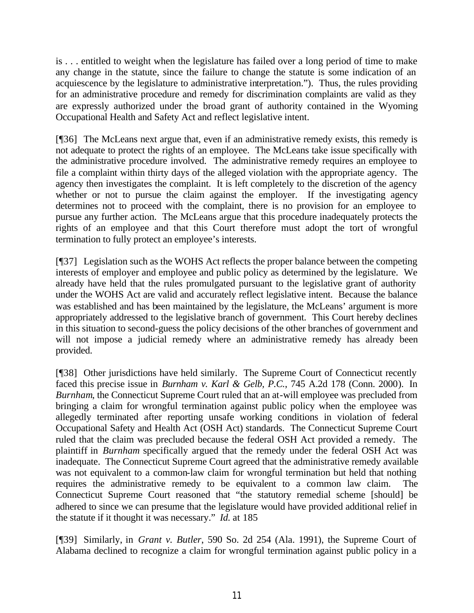is . . . entitled to weight when the legislature has failed over a long period of time to make any change in the statute, since the failure to change the statute is some indication of an acquiescence by the legislature to administrative interpretation."). Thus, the rules providing for an administrative procedure and remedy for discrimination complaints are valid as they are expressly authorized under the broad grant of authority contained in the Wyoming Occupational Health and Safety Act and reflect legislative intent.

[¶36] The McLeans next argue that, even if an administrative remedy exists, this remedy is not adequate to protect the rights of an employee. The McLeans take issue specifically with the administrative procedure involved. The administrative remedy requires an employee to file a complaint within thirty days of the alleged violation with the appropriate agency. The agency then investigates the complaint. It is left completely to the discretion of the agency whether or not to pursue the claim against the employer. If the investigating agency determines not to proceed with the complaint, there is no provision for an employee to pursue any further action. The McLeans argue that this procedure inadequately protects the rights of an employee and that this Court therefore must adopt the tort of wrongful termination to fully protect an employee's interests.

[¶37] Legislation such as the WOHS Act reflects the proper balance between the competing interests of employer and employee and public policy as determined by the legislature. We already have held that the rules promulgated pursuant to the legislative grant of authority under the WOHS Act are valid and accurately reflect legislative intent. Because the balance was established and has been maintained by the legislature, the McLeans' argument is more appropriately addressed to the legislative branch of government. This Court hereby declines in this situation to second-guess the policy decisions of the other branches of government and will not impose a judicial remedy where an administrative remedy has already been provided.

[¶38] Other jurisdictions have held similarly. The Supreme Court of Connecticut recently faced this precise issue in *Burnham v. Karl & Gelb, P.C.*, 745 A.2d 178 (Conn. 2000). In *Burnham*, the Connecticut Supreme Court ruled that an at-will employee was precluded from bringing a claim for wrongful termination against public policy when the employee was allegedly terminated after reporting unsafe working conditions in violation of federal Occupational Safety and Health Act (OSH Act) standards. The Connecticut Supreme Court ruled that the claim was precluded because the federal OSH Act provided a remedy. The plaintiff in *Burnham* specifically argued that the remedy under the federal OSH Act was inadequate. The Connecticut Supreme Court agreed that the administrative remedy available was not equivalent to a common-law claim for wrongful termination but held that nothing requires the administrative remedy to be equivalent to a common law claim. The Connecticut Supreme Court reasoned that "the statutory remedial scheme [should] be adhered to since we can presume that the legislature would have provided additional relief in the statute if it thought it was necessary." *Id.* at 185

[¶39] Similarly, in *Grant v. Butler*, 590 So. 2d 254 (Ala. 1991), the Supreme Court of Alabama declined to recognize a claim for wrongful termination against public policy in a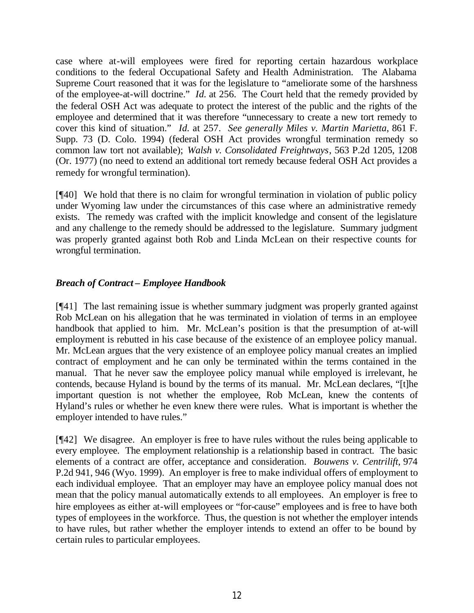case where at-will employees were fired for reporting certain hazardous workplace conditions to the federal Occupational Safety and Health Administration. The Alabama Supreme Court reasoned that it was for the legislature to "ameliorate some of the harshness of the employee-at-will doctrine." *Id.* at 256. The Court held that the remedy provided by the federal OSH Act was adequate to protect the interest of the public and the rights of the employee and determined that it was therefore "unnecessary to create a new tort remedy to cover this kind of situation." *Id.* at 257. *See generally Miles v. Martin Marietta*, 861 F. Supp. 73 (D. Colo. 1994) (federal OSH Act provides wrongful termination remedy so common law tort not available); *Walsh v. Consolidated Freightways*, 563 P.2d 1205, 1208 (Or. 1977) (no need to extend an additional tort remedy because federal OSH Act provides a remedy for wrongful termination).

[¶40] We hold that there is no claim for wrongful termination in violation of public policy under Wyoming law under the circumstances of this case where an administrative remedy exists. The remedy was crafted with the implicit knowledge and consent of the legislature and any challenge to the remedy should be addressed to the legislature. Summary judgment was properly granted against both Rob and Linda McLean on their respective counts for wrongful termination.

# *Breach of Contract – Employee Handbook*

[¶41] The last remaining issue is whether summary judgment was properly granted against Rob McLean on his allegation that he was terminated in violation of terms in an employee handbook that applied to him. Mr. McLean's position is that the presumption of at-will employment is rebutted in his case because of the existence of an employee policy manual. Mr. McLean argues that the very existence of an employee policy manual creates an implied contract of employment and he can only be terminated within the terms contained in the manual. That he never saw the employee policy manual while employed is irrelevant, he contends, because Hyland is bound by the terms of its manual. Mr. McLean declares, "[t]he important question is not whether the employee, Rob McLean, knew the contents of Hyland's rules or whether he even knew there were rules. What is important is whether the employer intended to have rules."

[¶42] We disagree. An employer is free to have rules without the rules being applicable to every employee. The employment relationship is a relationship based in contract. The basic elements of a contract are offer, acceptance and consideration. *Bouwens v. Centrilift*, 974 P.2d 941, 946 (Wyo. 1999). An employer is free to make individual offers of employment to each individual employee. That an employer may have an employee policy manual does not mean that the policy manual automatically extends to all employees. An employer is free to hire employees as either at-will employees or "for-cause" employees and is free to have both types of employees in the workforce. Thus, the question is not whether the employer intends to have rules, but rather whether the employer intends to extend an offer to be bound by certain rules to particular employees.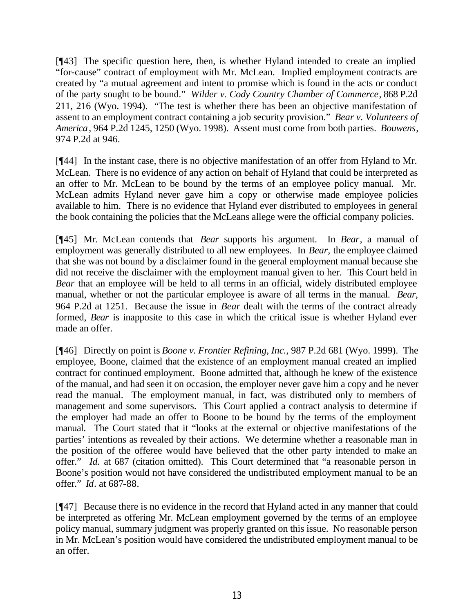[¶43] The specific question here, then, is whether Hyland intended to create an implied "for-cause" contract of employment with Mr. McLean. Implied employment contracts are created by "a mutual agreement and intent to promise which is found in the acts or conduct of the party sought to be bound." *Wilder v. Cody Country Chamber of Commerce*, 868 P.2d 211, 216 (Wyo. 1994). "The test is whether there has been an objective manifestation of assent to an employment contract containing a job security provision." *Bear v. Volunteers of America*, 964 P.2d 1245, 1250 (Wyo. 1998). Assent must come from both parties. *Bouwens*, 974 P.2d at 946.

[¶44] In the instant case, there is no objective manifestation of an offer from Hyland to Mr. McLean. There is no evidence of any action on behalf of Hyland that could be interpreted as an offer to Mr. McLean to be bound by the terms of an employee policy manual. Mr. McLean admits Hyland never gave him a copy or otherwise made employee policies available to him. There is no evidence that Hyland ever distributed to employees in general the book containing the policies that the McLeans allege were the official company policies.

[¶45] Mr. McLean contends that *Bear* supports his argument. In *Bear*, a manual of employment was generally distributed to all new employees. In *Bear,* the employee claimed that she was not bound by a disclaimer found in the general employment manual because she did not receive the disclaimer with the employment manual given to her. This Court held in *Bear* that an employee will be held to all terms in an official, widely distributed employee manual, whether or not the particular employee is aware of all terms in the manual. *Bear,*  964 P.2d at 1251. Because the issue in *Bear* dealt with the terms of the contract already formed, *Bear* is inapposite to this case in which the critical issue is whether Hyland ever made an offer.

[¶46] Directly on point is *Boone v. Frontier Refining, Inc.*, 987 P.2d 681 (Wyo. 1999). The employee, Boone, claimed that the existence of an employment manual created an implied contract for continued employment. Boone admitted that, although he knew of the existence of the manual, and had seen it on occasion, the employer never gave him a copy and he never read the manual. The employment manual, in fact, was distributed only to members of management and some supervisors. This Court applied a contract analysis to determine if the employer had made an offer to Boone to be bound by the terms of the employment manual. The Court stated that it "looks at the external or objective manifestations of the parties' intentions as revealed by their actions. We determine whether a reasonable man in the position of the offeree would have believed that the other party intended to make an offer." *Id.* at 687 (citation omitted). This Court determined that "a reasonable person in Boone's position would not have considered the undistributed employment manual to be an offer." *Id*. at 687-88.

[¶47] Because there is no evidence in the record that Hyland acted in any manner that could be interpreted as offering Mr. McLean employment governed by the terms of an employee policy manual, summary judgment was properly granted on this issue. No reasonable person in Mr. McLean's position would have considered the undistributed employment manual to be an offer.